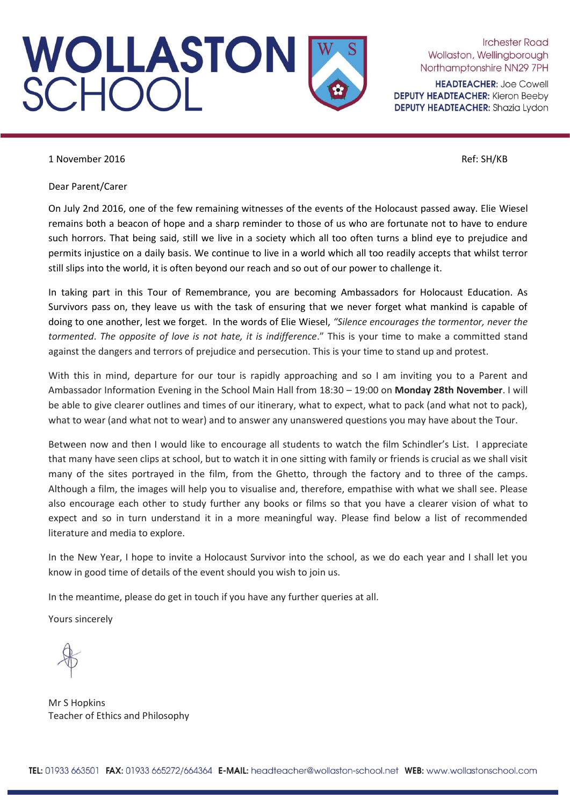

**Irchester Road** Wollaston, Wellingborough Northamptonshire NN29 7PH

**HEADTEACHER: Joe Cowell DEPUTY HEADTEACHER: Kieron Beeby DEPUTY HEADTEACHER:** Shazia Lydon

1 November 2016 **Ref:** SH/KB

Dear Parent/Carer

On July 2nd 2016, one of the few remaining witnesses of the events of the Holocaust passed away. Elie Wiesel remains both a beacon of hope and a sharp reminder to those of us who are fortunate not to have to endure such horrors. That being said, still we live in a society which all too often turns a blind eye to prejudice and permits injustice on a daily basis. We continue to live in a world which all too readily accepts that whilst terror still slips into the world, it is often beyond our reach and so out of our power to challenge it.

In taking part in this Tour of Remembrance, you are becoming Ambassadors for Holocaust Education. As Survivors pass on, they leave us with the task of ensuring that we never forget what mankind is capable of doing to one another, lest we forget. In the words of Elie Wiesel, *"Silence encourages the tormentor, never the tormented*. *The opposite of love is not hate, it is indifference*." This is your time to make a committed stand against the dangers and terrors of prejudice and persecution. This is your time to stand up and protest.

With this in mind, departure for our tour is rapidly approaching and so I am inviting you to a Parent and Ambassador Information Evening in the School Main Hall from 18:30 – 19:00 on **Monday 28th November**. I will be able to give clearer outlines and times of our itinerary, what to expect, what to pack (and what not to pack), what to wear (and what not to wear) and to answer any unanswered questions you may have about the Tour.

Between now and then I would like to encourage all students to watch the film Schindler's List. I appreciate that many have seen clips at school, but to watch it in one sitting with family or friends is crucial as we shall visit many of the sites portrayed in the film, from the Ghetto, through the factory and to three of the camps. Although a film, the images will help you to visualise and, therefore, empathise with what we shall see. Please also encourage each other to study further any books or films so that you have a clearer vision of what to expect and so in turn understand it in a more meaningful way. Please find below a list of recommended literature and media to explore.

In the New Year, I hope to invite a Holocaust Survivor into the school, as we do each year and I shall let you know in good time of details of the event should you wish to join us.

In the meantime, please do get in touch if you have any further queries at all.

Yours sincerely

Mr S Hopkins Teacher of Ethics and Philosophy